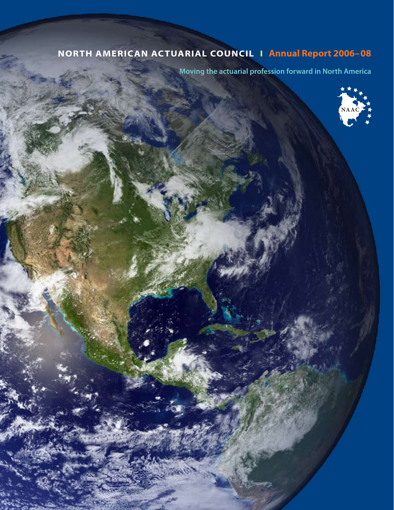# **North American Actuarial Council I Annual Report 2006– 08**

**Moving the actuarial profession forward in North America**

**NAAC**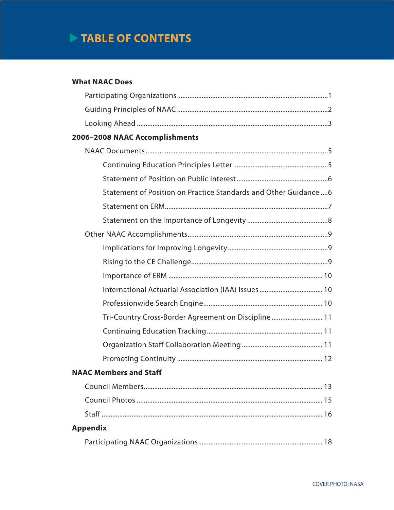# **TABLE OF CONTENTS**

# **What NAAC Does**

| 2006-2008 NAAC Accomplishments |                                                                 |
|--------------------------------|-----------------------------------------------------------------|
|                                |                                                                 |
|                                |                                                                 |
|                                |                                                                 |
|                                | Statement of Position on Practice Standards and Other Guidance6 |
|                                |                                                                 |
|                                |                                                                 |
|                                |                                                                 |
|                                |                                                                 |
|                                |                                                                 |
|                                |                                                                 |
|                                |                                                                 |
|                                |                                                                 |
|                                | Tri-Country Cross-Border Agreement on Discipline  11            |
|                                |                                                                 |
|                                |                                                                 |
|                                |                                                                 |
| <b>NAAC Members and Staff</b>  |                                                                 |
|                                |                                                                 |
|                                |                                                                 |
|                                |                                                                 |
| <b>Appendix</b>                |                                                                 |
|                                |                                                                 |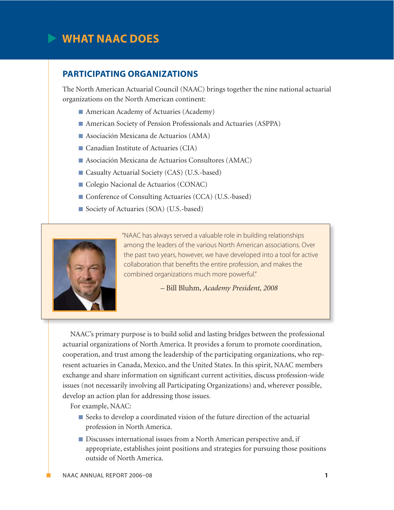# **What NAAC Does**

# **Participating Organizations**

The North American Actuarial Council (NAAC) brings together the nine national actuarial organizations on the North American continent:

- American Academy of Actuaries (Academy)
- n American Society of Pension Professionals and Actuaries (ASPPA)
- $\blacksquare$  Asociación Mexicana de Actuarios (AMA)
- $\blacksquare$  Canadian Institute of Actuaries (CIA)
- Asociación Mexicana de Actuarios Consultores (AMAC)
- Casualty Actuarial Society (CAS) (U.S.-based)
- Colegio Nacional de Actuarios (CONAC)
- Conference of Consulting Actuaries (CCA) (U.S.-based)
- Society of Actuaries (SOA) (U.S.-based)



"NAAC has always served a valuable role in building relationships among the leaders of the various North American associations. Over the past two years, however, we have developed into a tool for active collaboration that benefits the entire profession, and makes the combined organizations much more powerful."

– Bill Bluhm, *Academy President, 2008*

NAAC's primary purpose is to build solid and lasting bridges between the professional actuarial organizations of North America. It provides a forum to promote coordination, cooperation, and trust among the leadership of the participating organizations, who represent actuaries in Canada, Mexico, and the United States. In this spirit, NAAC members exchange and share information on significant current activities, discuss profession-wide issues (not necessarily involving all Participating Organizations) and, wherever possible, develop an action plan for addressing those issues.

For example, NAAC:

- Seeks to develop a coordinated vision of the future direction of the actuarial profession in North America.
- Discusses international issues from a North American perspective and, if appropriate, establishes joint positions and strategies for pursuing those positions outside of North America.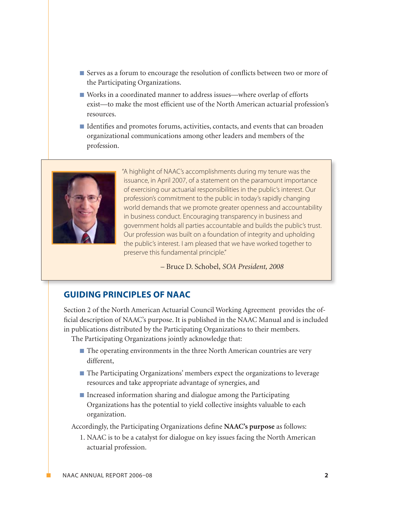- Serves as a forum to encourage the resolution of conflicts between two or more of the Participating Organizations.
- Works in a coordinated manner to address issues—where overlap of efforts exist—to make the most efficient use of the North American actuarial profession's resources.
- n Identifies and promotes forums, activities, contacts, and events that can broaden organizational communications among other leaders and members of the profession.



"A highlight of NAAC's accomplishments during my tenure was the issuance, in April 2007, of a statement on the paramount importance of exercising our actuarial responsibilities in the public's interest. Our profession's commitment to the public in today's rapidly changing world demands that we promote greater openness and accountability in business conduct. Encouraging transparency in business and government holds all parties accountable and builds the public's trust. Our profession was built on a foundation of integrity and upholding the public's interest. I am pleased that we have worked together to preserve this fundamental principle."

– Bruce D. Schobel, *SOA President, 2008*

# **Guiding Principles of NAAC**

Section 2 of the North American Actuarial Council Working Agreement provides the official description of NAAC's purpose. It is published in the NAAC Manual and is included in publications distributed by the Participating Organizations to their members.

The Participating Organizations jointly acknowledge that:

- $\blacksquare$  The operating environments in the three North American countries are very different,
- The Participating Organizations' members expect the organizations to leverage resources and take appropriate advantage of synergies, and
- $\blacksquare$  Increased information sharing and dialogue among the Participating Organizations has the potential to yield collective insights valuable to each organization.

Accordingly, the Participating Organizations define **NAAC's purpose** as follows:

1. NAAC is to be a catalyst for dialogue on key issues facing the North American actuarial profession.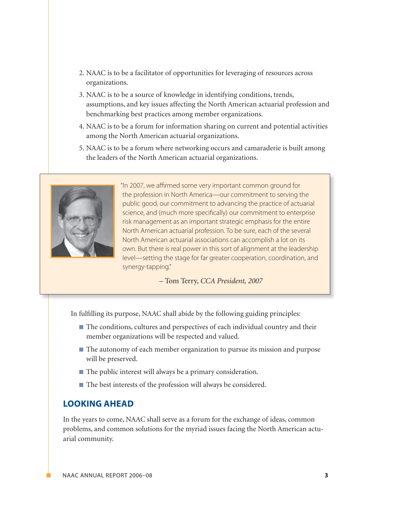- 2. NAAC is to be a facilitator of opportunities for leveraging of resources across organizations.
- 3. NAAC is to be a source of knowledge in identifying conditions, trends, assumptions, and key issues affecting the North American actuarial profession and benchmarking best practices among member organizations.
- 4. NAAC is to be a forum for information sharing on current and potential activities among the North American actuarial organizations.
- 5. NAAC is to be a forum where networking occurs and camaraderie is built among the leaders of the North American actuarial organizations.



"In 2007, we affirmed some very important common ground for the profession in North America—our commitment to serving the public good, our commitment to advancing the practice of actuarial science, and (much more specifically) our commitment to enterprise risk management as an important strategic emphasis for the entire North American actuarial profession. To be sure, each of the several North American actuarial associations can accomplish a lot on its own. But there is real power in this sort of alignment at the leadership level—setting the stage for far greater cooperation, coordination, and synergy-tapping."

– Tom Terry, *CCA President, 2007*

In fulfilling its purpose, NAAC shall abide by the following guiding principles:

- The conditions, cultures and perspectives of each individual country and their member organizations will be respected and valued.
- n The autonomy of each member organization to pursue its mission and purpose will be preserved.
- $\blacksquare$  The public interest will always be a primary consideration.
- The best interests of the profession will always be considered.

# **Looking Ahead**

In the years to come, NAAC shall serve as a forum for the exchange of ideas, common problems, and common solutions for the myriad issues facing the North American actuarial community.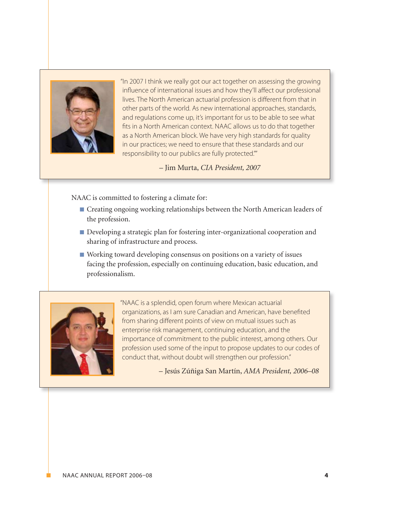

"In 2007 I think we really got our act together on assessing the growing influence of international issues and how they'll affect our professional lives. The North American actuarial profession is different from that in other parts of the world. As new international approaches, standards, and regulations come up, it's important for us to be able to see what fits in a North American context. NAAC allows us to do that together as a North American block. We have very high standards for quality in our practices; we need to ensure that these standards and our responsibility to our publics are fully protected.""

– Jim Murta, *CIA President, 2007*

NAAC is committed to fostering a climate for:

- Creating ongoing working relationships between the North American leaders of the profession.
- Developing a strategic plan for fostering inter-organizational cooperation and sharing of infrastructure and process.
- n Working toward developing consensus on positions on a variety of issues facing the profession, especially on continuing education, basic education, and professionalism.



"NAAC is a splendid, open forum where Mexican actuarial organizations, as I am sure Canadian and American, have benefited from sharing different points of view on mutual issues such as enterprise risk management, continuing education, and the importance of commitment to the public interest, among others. Our profession used some of the input to propose updates to our codes of conduct that, without doubt will strengthen our profession."

– Jesús Zúñiga San Martín, *AMA President, 2006–08*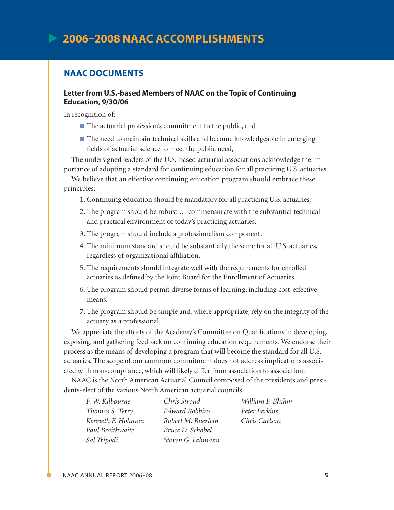# **NAAC Documents**

#### **Letter from U.S.-based Members of NAAC on the Topic of Continuing Education, 9/30/06**

In recognition of:

- The actuarial profession's commitment to the public, and
- The need to maintain technical skills and become knowledgeable in emerging fields of actuarial science to meet the public need,

The undersigned leaders of the U.S.-based actuarial associations acknowledge the importance of adopting a standard for continuing education for all practicing U.S. actuaries.

We believe that an effective continuing education program should embrace these principles:

- 1. Continuing education should be mandatory for all practicing U.S. actuaries.
- 2. The program should be robust … commensurate with the substantial technical and practical environment of today's practicing actuaries.
- 3. The program should include a professionalism component.
- 4. The minimum standard should be substantially the same for all U.S. actuaries, regardless of organizational affiliation.
- 5. The requirements should integrate well with the requirements for enrolled actuaries as defined by the Joint Board for the Enrollment of Actuaries.
- 6. The program should permit diverse forms of learning, including cost-effective means.
- 7. The program should be simple and, where appropriate, rely on the integrity of the actuary as a professional.

We appreciate the efforts of the Academy's Committee on Qualifications in developing, exposing, and gathering feedback on continuing education requirements. We endorse their process as the means of developing a program that will become the standard for all U.S. actuaries. The scope of our common commitment does not address implications associated with non-compliance, which will likely differ from association to association.

NAAC is the North American Actuarial Council composed of the presidents and presidents-elect of the various North American actuarial councils.

| F. W. Kilbourne   | Chris Stroud          | William F. Bluhm |
|-------------------|-----------------------|------------------|
| Thomas S. Terry   | <b>Edward Robbins</b> | Peter Perkins    |
| Kenneth F. Hohman | Robert M. Buerlein    | Chris Carlson    |
| Paul Braithwaite  | Bruce D. Schobel      |                  |
| Sal Tripodi       | Steven G. Lehmann     |                  |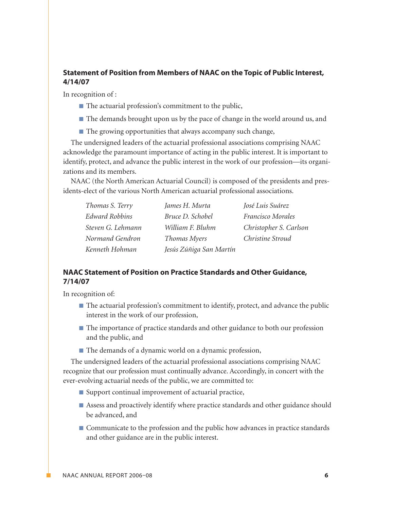# **Statement of Position from Members of NAAC on the Topic of Public Interest, 4/14/07**

In recognition of :

- $\blacksquare$  The actuarial profession's commitment to the public,
- n The demands brought upon us by the pace of change in the world around us, and
- $\blacksquare$  The growing opportunities that always accompany such change,

The undersigned leaders of the actuarial professional associations comprising NAAC acknowledge the paramount importance of acting in the public interest. It is important to identify, protect, and advance the public interest in the work of our profession—its organizations and its members.

NAAC (the North American Actuarial Council) is composed of the presidents and presidents-elect of the various North American actuarial professional associations.

| Thomas S. Terry       | James H. Murta          | José Luis Suárez       |
|-----------------------|-------------------------|------------------------|
| <b>Edward Robbins</b> | Bruce D. Schobel        | Francisco Morales      |
| Steven G. Lehmann     | William F. Bluhm        | Christopher S. Carlson |
| Normand Gendron       | Thomas Myers            | Christine Stroud       |
| Kenneth Hohman        | Jesús Zúñiga San Martín |                        |

## **NAAC Statement of Position on Practice Standards and Other Guidance, 7/14/07**

In recognition of:

- n The actuarial profession's commitment to identify, protect, and advance the public interest in the work of our profession,
- The importance of practice standards and other guidance to both our profession and the public, and
- The demands of a dynamic world on a dynamic profession,

The undersigned leaders of the actuarial professional associations comprising NAAC recognize that our profession must continually advance. Accordingly, in concert with the ever-evolving actuarial needs of the public, we are committed to:

- $\blacksquare$  Support continual improvement of actuarial practice,
- n Assess and proactively identify where practice standards and other guidance should be advanced, and
- Communicate to the profession and the public how advances in practice standards and other guidance are in the public interest.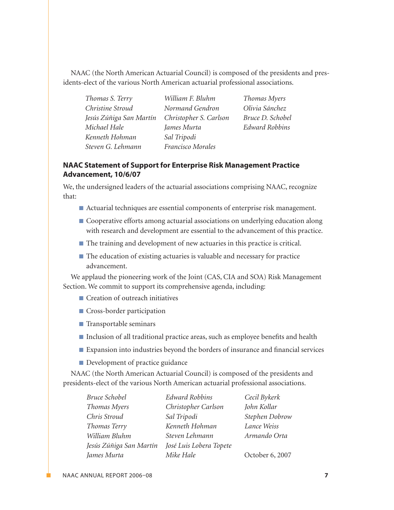NAAC (the North American Actuarial Council) is composed of the presidents and presidents-elect of the various North American actuarial professional associations.

| Thomas S. Terry         | William F. Bluhm       | Th              |
|-------------------------|------------------------|-----------------|
| Christine Stroud        | Normand Gendron        | Oŀ              |
| Jesús Zúñiga San Martín | Christopher S. Carlson | Br <sub>i</sub> |
| Michael Hale            | James Murta            | Ed              |
| Kenneth Hohman          | Sal Tripodi            |                 |
| Steven G. Lehmann       | Francisco Morales      |                 |

*Thomas Myers Olivia Sánchez Bruce D. Schobel Edward Robbins*

#### **NAAC Statement of Support for Enterprise Risk Management Practice Advancement, 10/6/07**

We, the undersigned leaders of the actuarial associations comprising NAAC, recognize that:

- Actuarial techniques are essential components of enterprise risk management.
- **n** Cooperative efforts among actuarial associations on underlying education along with research and development are essential to the advancement of this practice.
- n The training and development of new actuaries in this practice is critical.
- $\blacksquare$  The education of existing actuaries is valuable and necessary for practice advancement.

We applaud the pioneering work of the Joint (CAS, CIA and SOA) Risk Management Section. We commit to support its comprehensive agenda, including:

- Creation of outreach initiatives
- **n** Cross-border participation
- Transportable seminars
- Inclusion of all traditional practice areas, such as employee benefits and health
- Expansion into industries beyond the borders of insurance and financial services
- **n** Development of practice guidance

NAAC (the North American Actuarial Council) is composed of the presidents and presidents-elect of the various North American actuarial professional associations.

| Bruce Schobel           | <b>Edward Robbins</b>   | Cecil Bykerk    |
|-------------------------|-------------------------|-----------------|
| Thomas Myers            | Christopher Carlson     | John Kollar     |
| Chris Stroud            | Sal Tripodi             | Stephen Dobrow  |
| Thomas Terry            | Kenneth Hohman          | Lance Weiss     |
| William Bluhm           | Steven Lehmann          | Armando Orta    |
| Jesús Zúñiga San Martín | José Luis Lobera Topete |                 |
| James Murta             | Mike Hale               | October 6, 2007 |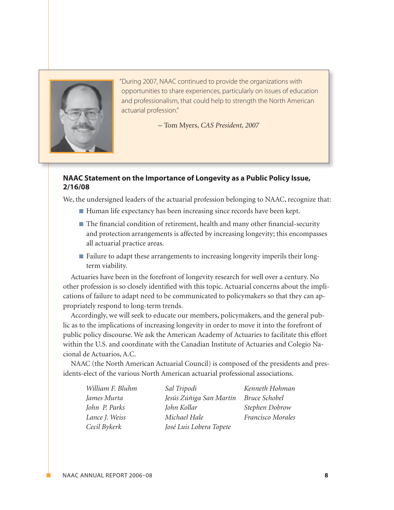

"During 2007, NAAC continued to provide the organizations with opportunities to share experiences, particularly on issues of education and professionalism, that could help to strength the North American actuarial profession."

– Tom Myers, *CAS President, 2007*

## **NAAC Statement on the Importance of Longevity as a Public Policy Issue, 2/16/08**

We, the undersigned leaders of the actuarial profession belonging to NAAC, recognize that:

- Human life expectancy has been increasing since records have been kept.
- The financial condition of retirement, health and many other financial-security and protection arrangements is affected by increasing longevity; this encompasses all actuarial practice areas.
- Failure to adapt these arrangements to increasing longevity imperils their longterm viability.

Actuaries have been in the forefront of longevity research for well over a century. No other profession is so closely identified with this topic. Actuarial concerns about the implications of failure to adapt need to be communicated to policymakers so that they can appropriately respond to long-term trends.

Accordingly, we will seek to educate our members, policymakers, and the general public as to the implications of increasing longevity in order to move it into the forefront of public policy discourse. We ask the American Academy of Actuaries to facilitate this effort within the U.S. and coordinate with the Canadian Institute of Actuaries and Colegio Nacional de Actuarios, A.C.

NAAC (the North American Actuarial Council) is composed of the presidents and presidents-elect of the various North American actuarial professional associations.

*William F. Bluhm James Murta John P. Parks Lance J. Weiss Cecil Bykerk*

*Sal Tripodi Jesús Zúñiga San Martín John Kollar Michael Hale José Luis Lobera Topete*

*Kenneth Hohman Bruce Schobel Stephen Dobrow Francisco Morales*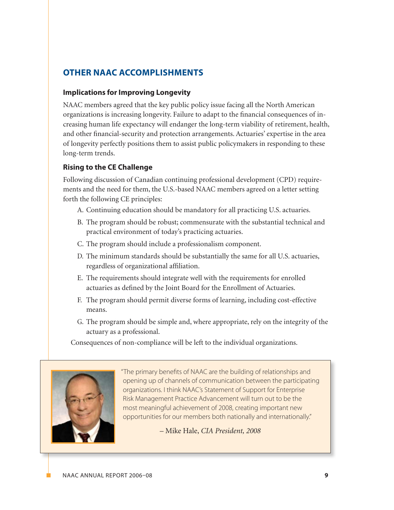# **Other NAAC Accomplishments**

# **Implications for Improving Longevity**

NAAC members agreed that the key public policy issue facing all the North American organizations is increasing longevity. Failure to adapt to the financial consequences of increasing human life expectancy will endanger the long-term viability of retirement, health, and other financial-security and protection arrangements. Actuaries' expertise in the area of longevity perfectly positions them to assist public policymakers in responding to these long-term trends.

# **Rising to the CE Challenge**

Following discussion of Canadian continuing professional development (CPD) requirements and the need for them, the U.S.-based NAAC members agreed on a letter setting forth the following CE principles:

- A. Continuing education should be mandatory for all practicing U.S. actuaries.
- B. The program should be robust; commensurate with the substantial technical and practical environment of today's practicing actuaries.
- C. The program should include a professionalism component.
- D. The minimum standards should be substantially the same for all U.S. actuaries, regardless of organizational affiliation.
- E. The requirements should integrate well with the requirements for enrolled actuaries as defined by the Joint Board for the Enrollment of Actuaries.
- F. The program should permit diverse forms of learning, including cost-effective means.
- G. The program should be simple and, where appropriate, rely on the integrity of the actuary as a professional.

Consequences of non-compliance will be left to the individual organizations.



"The primary benefits of NAAC are the building of relationships and opening up of channels of communication between the participating organizations. I think NAAC's Statement of Support for Enterprise Risk Management Practice Advancement will turn out to be the most meaningful achievement of 2008, creating important new opportunities for our members both nationally and internationally."

– Mike Hale, *CIA President, 2008*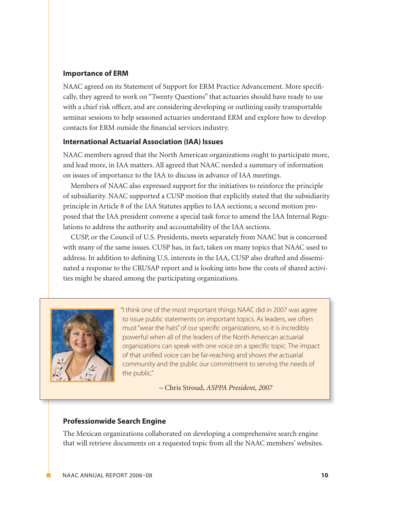#### **Importance of ERM**

NAAC agreed on its Statement of Support for ERM Practice Advancement. More specifically, they agreed to work on "Twenty Questions" that actuaries should have ready to use with a chief risk officer, and are considering developing or outlining easily transportable seminar sessions to help seasoned actuaries understand ERM and explore how to develop contacts for ERM outside the financial services industry.

#### **International Actuarial Association (IAA) Issues**

NAAC members agreed that the North American organizations ought to participate more, and lead more, in IAA matters. All agreed that NAAC needed a summary of information on issues of importance to the IAA to discuss in advance of IAA meetings.

Members of NAAC also expressed support for the initiatives to reinforce the principle of subsidiarity. NAAC supported a CUSP motion that explicitly stated that the subsidiarity principle in Article 8 of the IAA Statutes applies to IAA sections; a second motion proposed that the IAA president convene a special task force to amend the IAA Internal Regulations to address the authority and accountability of the IAA sections.

CUSP, or the Council of U.S. Presidents, meets separately from NAAC but is concerned with many of the same issues. CUSP has, in fact, taken on many topics that NAAC used to address. In addition to defining U.S. interests in the IAA, CUSP also drafted and disseminated a response to the CRUSAP report and is looking into how the costs of shared activities might be shared among the participating organizations.



"I think one of the most important things NAAC did in 2007 was agree to issue public statements on important topics. As leaders, we often must "wear the hats" of our specific organizations, so it is incredibly powerful when all of the leaders of the North American actuarial organizations can speak with one voice on a specific topic. The impact of that unified voice can be far-reaching and shows the actuarial community and the public our commitment to serving the needs of the public."

– Chris Stroud, *ASPPA President, 2007*

#### **Professionwide Search Engine**

The Mexican organizations collaborated on developing a comprehensive search engine that will retrieve documents on a requested topic from all the NAAC members' websites.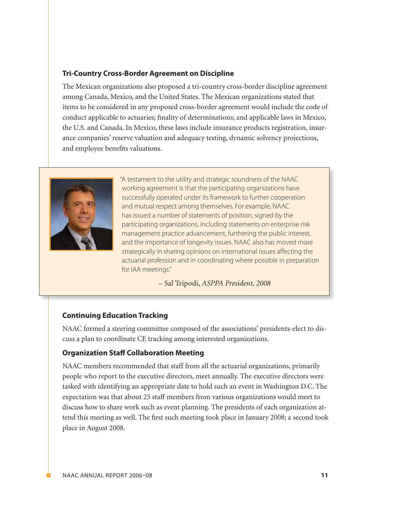#### **Tri-Country Cross-Border Agreement on Discipline**

The Mexican organizations also proposed a tri-country cross-border discipline agreement among Canada, Mexico, and the United States. The Mexican organizations stated that items to be considered in any proposed cross-border agreement would include the code of conduct applicable to actuaries; finality of determinations; and applicable laws in Mexico, the U.S. and Canada. In Mexico, these laws include insurance products registration, insurance companies' reserve valuation and adequacy testing, dynamic solvency projections, and employee benefits valuations.



"A testament to the utility and strategic soundness of the NAAC working agreement is that the participating organizations have successfully operated under its framework to further cooperation and mutual respect among themselves. For example, NAAC has issued a number of statements of position, signed by the participating organizations, including statements on enterprise risk management practice advancement, furthering the public interest, and the importance of longevity issues. NAAC also has moved more strategically in sharing opinions on international issues affecting the actuarial profession and in coordinating where possible in preparation for IAA meetings."

– Sal Tripodi, *ASPPA President, 2008*

## **Continuing Education Tracking**

NAAC formed a steering committee composed of the associations' presidents-elect to discuss a plan to coordinate CE tracking among interested organizations.

#### **Organization Staff Collaboration Meeting**

NAAC members recommended that staff from all the actuarial organizations, primarily people who report to the executive directors, meet annually. The executive directors were tasked with identifying an appropriate date to hold such an event in Washington D.C. The expectation was that about 25 staff members from various organizations would meet to discuss how to share work such as event planning. The presidents of each organization attend this meeting as well. The first such meeting took place in January 2008; a second took place in August 2008.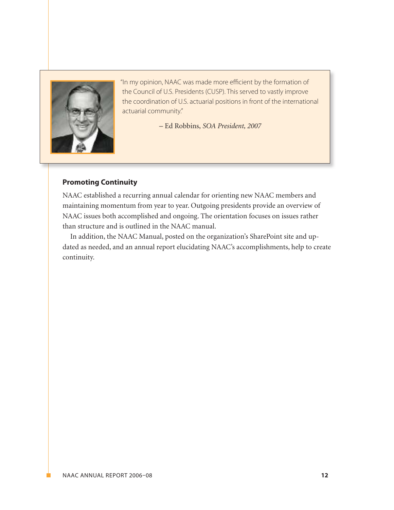

"In my opinion, NAAC was made more efficient by the formation of the Council of U.S. Presidents (CUSP). This served to vastly improve the coordination of U.S. actuarial positions in front of the international actuarial community."

– Ed Robbins, *SOA President, 2007*

## **Promoting Continuity**

NAAC established a recurring annual calendar for orienting new NAAC members and maintaining momentum from year to year. Outgoing presidents provide an overview of NAAC issues both accomplished and ongoing. The orientation focuses on issues rather than structure and is outlined in the NAAC manual.

In addition, the NAAC Manual, posted on the organization's SharePoint site and updated as needed, and an annual report elucidating NAAC's accomplishments, help to create continuity.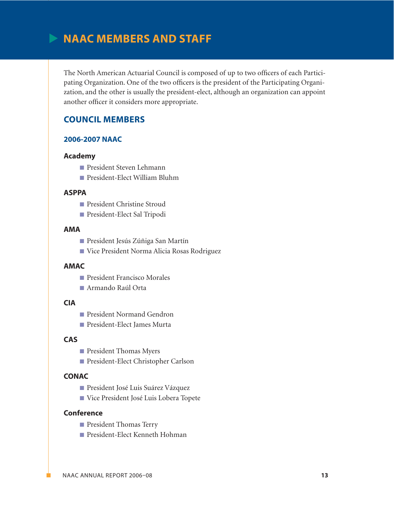# **NAAC Members and Staff**

The North American Actuarial Council is composed of up to two officers of each Participating Organization. One of the two officers is the president of the Participating Organization, and the other is usually the president-elect, although an organization can appoint another officer it considers more appropriate.

# **Council Members**

#### **2006-2007 NAAC**

#### **Academy**

- **n** President Steven Lehmann
- President-Elect William Bluhm

#### **ASPPA**

- President Christine Stroud
- n President-Elect Sal Tripodi

#### **AMA**

- President Jesús Zúñiga San Martín
- n Vice President Norma Alicia Rosas Rodriguez

#### **AMAC**

- **n** President Francisco Morales
- Armando Raúl Orta

#### **CIA**

- **n** President Normand Gendron
- President-Elect James Murta

#### **CAS**

- **n** President Thomas Myers
- n President-Elect Christopher Carlson

#### **CONAC**

- n President José Luis Suárez Vázquez
- Vice President José Luis Lobera Topete

#### **Conference**

- **n** President Thomas Terry
- President-Elect Kenneth Hohman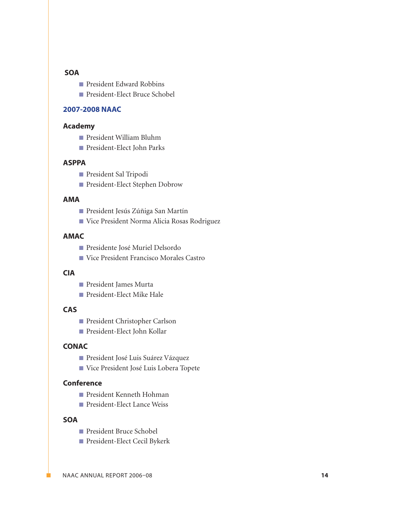#### **SOA**

- President Edward Robbins
- President-Elect Bruce Schobel

#### **2007-2008 NAAC**

#### **Academy**

- President William Bluhm
- President-Elect John Parks

#### **ASPPA**

- n President Sal Tripodi
- **n** President-Elect Stephen Dobrow

#### **AMA**

- n President Jesús Zúñiga San Martín
- n Vice President Norma Alicia Rosas Rodriguez

#### **AMAC**

- Presidente José Muriel Delsordo
- Vice President Francisco Morales Castro

#### **CIA**

- n President James Murta
- President-Elect Mike Hale

#### **CAS**

- n President Christopher Carlson
- President-Elect John Kollar

#### **CONAC**

- **n** President José Luis Suárez Vázquez
- n Vice President José Luis Lobera Topete

#### **Conference**

- President Kenneth Hohman
- President-Elect Lance Weiss

#### **SOA**

- n President Bruce Schobel
- n President-Elect Cecil Bykerk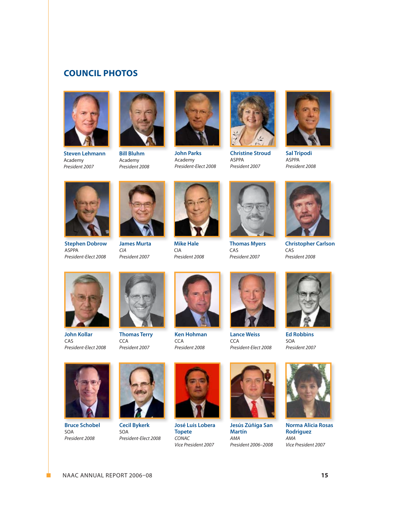# **Council Photos**



**Steven Lehmann** Academy *President 2007*



**Bill Bluhm** Academy *President 2008*



**John Parks** Academy *President-Elect 2008*



**Christine Stroud** ASPPA *President 2007*



**Sal Tripodi** ASPPA *President 2008*



**Stephen Dobrow** ASPPA *President-Elect 2008*



**James Murta** *President 2007*

*CIA*



**Mike Hale** CIA *President 2008*



**Thomas Myers** CAS *President 2007*



**Christopher Carlson** CAS *President 2008*



**John Kollar** CAS *President-Elect 2008*



**Thomas Terry CCA** *President 2007*



**Ken Hohman CCA** *President 2008*



**Lance Weiss CCA** *President-Elect 2008*



**Ed Robbins** SOA *President 2007*



**Bruce Schobel** SOA *President 2008*



**Cecil Bykerk** SOA *President-Elect 2008*



**José Luis Lobera Topete** *CONAC Vice President 2007*



**Jesús Zúñiga San Martín** *AMA President 2006–2008*



**Norma Alicia Rosas Rodriguez** *AMA Vice President 2007*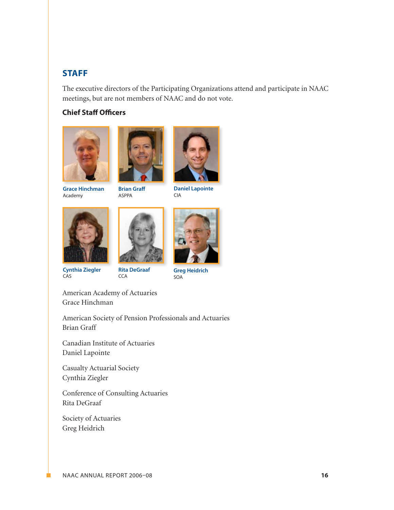# **STAFF**

The executive directors of the Participating Organizations attend and participate in NAAC meetings, but are not members of NAAC and do not vote.

# **Chief Staff Officers**





**Grace Hinchman** Academy









CIA





**Cynthia Ziegler** CAS





**Greg Heidrich** SOA

American Academy of Actuaries Grace Hinchman

American Society of Pension Professionals and Actuaries Brian Graff

Canadian Institute of Actuaries Daniel Lapointe

Casualty Actuarial Society Cynthia Ziegler

Conference of Consulting Actuaries Rita DeGraaf

Society of Actuaries Greg Heidrich

NAAC ANNUAL Report 2006–08 **16**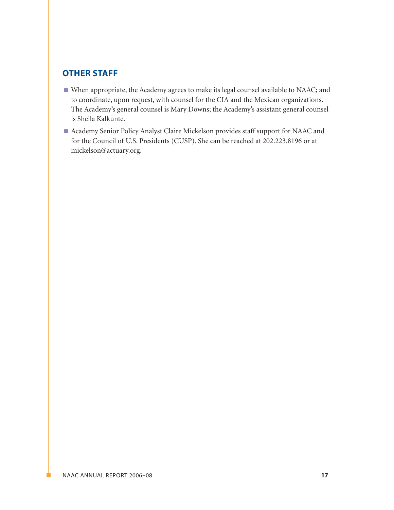# **OTHER STAFF**

- n When appropriate, the Academy agrees to make its legal counsel available to NAAC; and to coordinate, upon request, with counsel for the CIA and the Mexican organizations. The Academy's general counsel is Mary Downs; the Academy's assistant general counsel is Sheila Kalkunte.
- n Academy Senior Policy Analyst Claire Mickelson provides staff support for NAAC and for the Council of U.S. Presidents (CUSP). She can be reached at 202.223.8196 or at mickelson@actuary.org.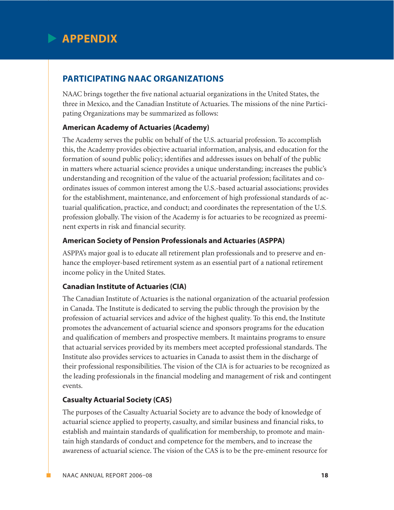

# **Participating NAAC Organizations**

NAAC brings together the five national actuarial organizations in the United States, the three in Mexico, and the Canadian Institute of Actuaries. The missions of the nine Participating Organizations may be summarized as follows:

# **American Academy of Actuaries (Academy)**

The Academy serves the public on behalf of the U.S. actuarial profession. To accomplish this, the Academy provides objective actuarial information, analysis, and education for the formation of sound public policy; identifies and addresses issues on behalf of the public in matters where actuarial science provides a unique understanding; increases the public's understanding and recognition of the value of the actuarial profession; facilitates and coordinates issues of common interest among the U.S.-based actuarial associations; provides for the establishment, maintenance, and enforcement of high professional standards of actuarial qualification, practice, and conduct; and coordinates the representation of the U.S. profession globally. The vision of the Academy is for actuaries to be recognized as preeminent experts in risk and financial security.

# **American Society of Pension Professionals and Actuaries (ASPPA)**

ASPPA's major goal is to educate all retirement plan professionals and to preserve and enhance the employer-based retirement system as an essential part of a national retirement income policy in the United States.

## **Canadian Institute of Actuaries (CIA)**

The Canadian Institute of Actuaries is the national organization of the actuarial profession in Canada. The Institute is dedicated to serving the public through the provision by the profession of actuarial services and advice of the highest quality. To this end, the Institute promotes the advancement of actuarial science and sponsors programs for the education and qualification of members and prospective members. It maintains programs to ensure that actuarial services provided by its members meet accepted professional standards. The Institute also provides services to actuaries in Canada to assist them in the discharge of their professional responsibilities. The vision of the CIA is for actuaries to be recognized as the leading professionals in the financial modeling and management of risk and contingent events.

# **Casualty Actuarial Society (CAS)**

The purposes of the Casualty Actuarial Society are to advance the body of knowledge of actuarial science applied to property, casualty, and similar business and financial risks, to establish and maintain standards of qualification for membership, to promote and maintain high standards of conduct and competence for the members, and to increase the awareness of actuarial science. The vision of the CAS is to be the pre-eminent resource for